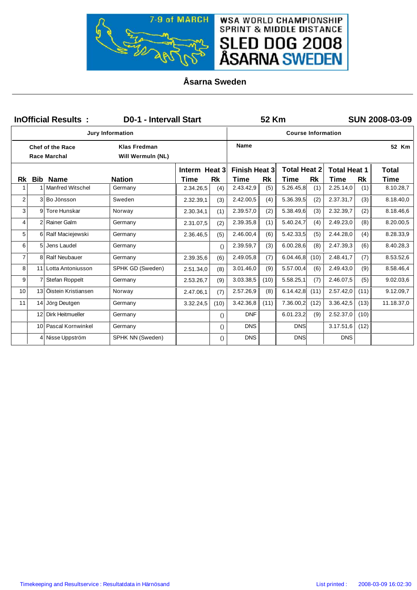

**Åsarna Sweden**

|                         |                | <b>InOfficial Results:</b>                     | <b>D0-1 - Intervall Start</b>            |               |                  |                      | 52 Km     |                           |           |                     |           | <b>SUN 2008-03-09</b> |
|-------------------------|----------------|------------------------------------------------|------------------------------------------|---------------|------------------|----------------------|-----------|---------------------------|-----------|---------------------|-----------|-----------------------|
|                         |                |                                                | <b>Jury Information</b>                  |               |                  |                      |           | <b>Course Information</b> |           |                     |           |                       |
|                         |                | <b>Chef of the Race</b><br><b>Race Marchal</b> | <b>Klas Fredman</b><br>Will Wermuln (NL) |               |                  | <b>Name</b>          |           |                           |           |                     |           | 52 Km                 |
|                         |                |                                                |                                          | Interm Heat 3 |                  | <b>Finish Heat 3</b> |           | <b>Total Heat 2</b>       |           | <b>Total Heat 1</b> |           | <b>Total</b>          |
| Rk                      | Bib            | <b>Name</b>                                    | <b>Nation</b>                            | <b>Time</b>   | <b>Rk</b>        | Time                 | <b>Rk</b> | Time                      | <b>Rk</b> | Time                | <b>Rk</b> | Time                  |
| 1                       |                | 1 Manfred Witschel                             | Germany                                  | 2.34.26,5     | (4)              | 2.43.42,9            | (5)       | 5.26.45,8                 | (1)       | 2.25.14,0           | (1)       | 8.10.28,7             |
| $\overline{\mathbf{c}}$ |                | 3 Bo Jönsson                                   | Sweden                                   | 2.32.39,1     | (3)              | 2.42.00,5            | (4)       | 5.36.39,5                 | (2)       | 2.37.31,7           | (3)       | 8.18.40,0             |
| 3                       | 9              | Tore Hunskar                                   | Norway                                   | 2.30.34,1     | (1)              | 2.39.57,0            | (2)       | 5.38.49,6                 | (3)       | 2.32.39,7           | (2)       | 8.18.46,6             |
| 4                       | $\overline{2}$ | Rainer Galm                                    | Germany                                  | 2.31.07,5     | (2)              | 2.39.35,8            | (1)       | 5.40.24,7                 | (4)       | 2.49.23,0           | (8)       | 8.20.00,5             |
| 5                       | 6              | Ralf Maciejewski                               | Germany                                  | 2.36.46,5     | (5)              | 2.46.00,4            | (6)       | 5.42.33,5                 | (5)       | 2.44.28,0           | (4)       | 8.28.33,9             |
| 6                       | 5              | Jens Laudel                                    | Germany                                  |               | $\left( \right)$ | 2.39.59,7            | (3)       | 6.00.28,6                 | (8)       | 2.47.39,3           | (6)       | 8.40.28,3             |
| $\overline{7}$          | 8              | <b>Ralf Neubauer</b>                           | Germany                                  | 2.39.35,6     | (6)              | 2.49.05,8            | (7)       | 6.04.46,8                 | (10)      | 2.48.41,7           | (7)       | 8.53.52,6             |
| 8                       |                | 11 Lotta Antoniusson                           | SPHK GD (Sweden)                         | 2.51.34,0     | (8)              | 3.01.46,0            | (9)       | 5.57.00,4                 | (6)       | 2.49.43,0           | (9)       | 8.58.46,4             |
| 9                       | 7              | Stefan Roppelt                                 | Germany                                  | 2.53.26,7     | (9)              | 3.03.38,5            | (10)      | 5.58.25,1                 | (7)       | 2.46.07,5           | (5)       | 9.02.03,6             |
| 10                      | 13             | Öistein Kristiansen                            | Norway                                   | 2.47.06,1     | (7)              | 2.57.26,9            | (8)       | 6.14.42,8                 | (11)      | 2.57.42,0           | (11)      | 9.12.09,7             |
| 11                      | 14             | Jörg Deutgen                                   | Germany                                  | 3.32.24,5     | (10)             | 3.42.36,8            | (11)      | 7.36.00,2                 | (12)      | 3.36.42,5           | (13)      | 11.18.37,0            |
|                         | 12             | <b>Dirk Heitmueller</b>                        | Germany                                  |               | $\left( \right)$ | <b>DNF</b>           |           | 6.01.23,2                 | (9)       | 2.52.37,0           | (10)      |                       |
|                         |                | 10 Pascal Kornwinkel                           | Germany                                  |               | $\left( \right)$ | <b>DNS</b>           |           | <b>DNS</b>                |           | 3.17.51,6           | (12)      |                       |
|                         | 4              | Nisse Uppström                                 | SPHK NN (Sweden)                         |               | $\left( \right)$ | <b>DNS</b>           |           | <b>DNS</b>                |           | <b>DNS</b>          |           |                       |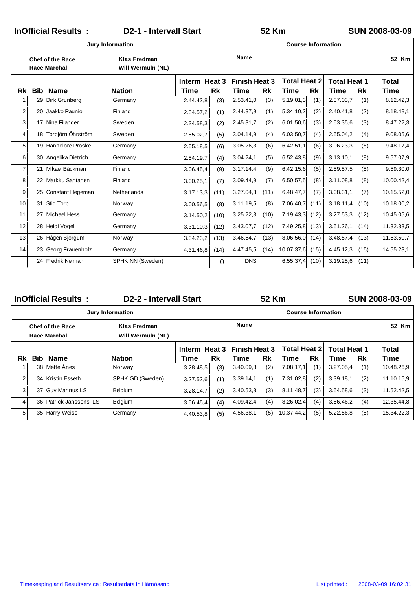|                |            | <b>InOfficial Results:</b>                     | <b>D2-1 - Intervall Start</b>            |               |                  |                      | 52 Km |                           |      |                     |           | <b>SUN 2008-03-09</b> |
|----------------|------------|------------------------------------------------|------------------------------------------|---------------|------------------|----------------------|-------|---------------------------|------|---------------------|-----------|-----------------------|
|                |            |                                                | <b>Jury Information</b>                  |               |                  |                      |       | <b>Course Information</b> |      |                     |           |                       |
|                |            | <b>Chef of the Race</b><br><b>Race Marchal</b> | <b>Klas Fredman</b><br>Will Wermuln (NL) |               |                  | <b>Name</b>          |       |                           |      |                     |           | 52 Km                 |
|                |            |                                                |                                          | Interm Heat 3 |                  | <b>Finish Heat 3</b> |       | <b>Total Heat 2</b>       |      | <b>Total Heat 1</b> |           | <b>Total</b>          |
| Rk             | <b>Bib</b> | <b>Name</b>                                    | <b>Nation</b>                            | <b>Time</b>   | Rk               | <b>Time</b>          | Rk    | Time                      | Rk   | <b>Time</b>         | <b>Rk</b> | <b>Time</b>           |
|                | 29         | Dirk Grunberg                                  | Germany                                  | 2.44.42,8     | (3)              | 2.53.41,0            | (3)   | 5.19.01,3                 | (1)  | 2.37.03,7           | (1)       | 8.12.42,3             |
| $\overline{2}$ | 20         | Jaakko Raunio                                  | Finland                                  | 2.34.57,2     | (1)              | 2.44.37,9            | (1)   | 5.34.10,2                 | (2)  | 2.40.41,8           | (2)       | 8.18.48,1             |
| 3              | 17         | Nina Filander                                  | Sweden                                   | 2.34.58,3     | (2)              | 2.45.31,7            | (2)   | 6.01.50,6                 | (3)  | 2.53.35,6           | (3)       | 8.47.22,3             |
| 4              | 18         | Torbjörn Öhrström                              | Sweden                                   | 2.55.02,7     | (5)              | 3.04.14,9            | (4)   | 6.03.50,7                 | (4)  | 2.55.04,2           | (4)       | 9.08.05,6             |
| 5              | 19         | Hannelore Proske                               | Germany                                  | 2.55.18,5     | (6)              | 3.05.26,3            | (6)   | 6.42.51,1                 | (6)  | 3.06.23,3           | (6)       | 9.48.17,4             |
| 6              | 30         | Angelika Dietrich                              | Germany                                  | 2.54.19,7     | (4)              | 3.04.24,1            | (5)   | 6.52.43,8                 | (9)  | 3.13.10,1           | (9)       | 9.57.07,9             |
| $\overline{7}$ | 21         | Mikael Bäckman                                 | Finland                                  | 3.06.45,4     | (9)              | 3.17.14,4            | (9)   | 6.42.15,6                 | (5)  | 2.59.57.5           | (5)       | 9.59.30,0             |
| 8              | 22         | Markku Santanen                                | Finland                                  | 3.00.25,1     | (7)              | 3.09.44,9            | (7)   | 6.50.57,5                 | (8)  | 3.11.08,8           | (8)       | 10.00.42,4            |
| 9              | 25         | Constant Hegeman                               | Netherlands                              | 3.17.13,3     | (11)             | 3.27.04,3            | (11)  | 6.48.47,7                 | (7)  | 3.08.31.1           | (7)       | 10.15.52,0            |
| 10             | 31         | <b>Stig Torp</b>                               | Norway                                   | 3.00.56,5     | (8)              | 3.11.19,5            | (8)   | 7.06.40,7                 | (11) | 3.18.11,4           | (10)      | 10.18.00,2            |
| 11             | 27         | <b>Michael Hess</b>                            | Germany                                  | 3.14.50,2     | (10)             | 3.25.22,3            | (10)  | 7.19.43,3                 | (12) | 3.27.53,3           | (12)      | 10.45.05,6            |
| 12             | 28         | Heidi Vogel                                    | Germany                                  | 3.31.10,3     | (12)             | 3.43.07,7            | (12)  | 7.49.25,8                 | (13) | 3.51.26,1           | (14)      | 11.32.33,5            |
| 13             | 26         | Hågen Björgum                                  | Norway                                   | 3.34.23,2     | (13)             | 3.46.54,7            | (13)  | 8.06.56,0                 | (14) | 3.48.57,4           | (13)      | 11.53.50,7            |
| 14             | 23         | Georg Frauenholz                               | Germany                                  | 4.31.46,8     | (14)             | 4.47.45,5            | (14)  | 10.07.37,6                | (15) | 4.45.12,3           | (15)      | 14.55.23,1            |
|                | 24         | Fredrik Neiman                                 | SPHK NN (Sweden)                         |               | $\left( \right)$ | <b>DNS</b>           |       | 6.55.37,4                 | (10) | 3.19.25,6           | (11)      |                       |

InOfficial Results : **D2-2** - Intervall Start 52 Km SUN 2008-03-09

**52 Km**

|     |            |                                         | <b>Jury Information</b>                  |                       |     |                              |     | <b>Course Information</b>    |     |                             |     |                             |
|-----|------------|-----------------------------------------|------------------------------------------|-----------------------|-----|------------------------------|-----|------------------------------|-----|-----------------------------|-----|-----------------------------|
|     |            | <b>Chef of the Race</b><br>Race Marchal | Klas Fredman<br><b>Will Wermuln (NL)</b> |                       |     | <b>Name</b>                  |     |                              |     |                             |     | 52 Km                       |
| Rk. | <b>Bib</b> | <b>Name</b>                             | <b>Nation</b>                            | Interm Heat 3<br>Time | Rk  | <b>Finish Heat 3</b><br>Time | Rk  | <b>Total Heat 21</b><br>Time | Rk  | <b>Total Heat 1</b><br>Time | Rk  | <b>Total</b><br><b>Time</b> |
|     |            | 38 Mette Ånes                           | Norway                                   | 3.28.48,5             | (3) | 3.40.09,8                    | (2) | 7.08.17,1                    | (1) | 3.27.05,4                   | (1) | 10.48.26,9                  |
| 2   |            | 34 Kristin Esseth                       | SPHK GD (Sweden)                         | 3.27.52,6             | (1) | 3.39.14,1                    | (1) | 7.31.02,8                    | (2) | 3.39.18,1                   | (2) | 11.10.16,9                  |
| 3   |            | 37 Guy Marinus LS                       | Belgium                                  | 3.28.14,7             | (2) | 3.40.53,8                    | (3) | 8.11.48.7                    | (3) | 3.54.58,6                   | (3) | 11.52.42,5                  |
| 4   |            | 36 Patrick Janssens LS                  | Belgium                                  | 3.56.45,4             | (4) | 4.09.42.4                    | (4) | 8.26.02.4                    | (4) | 3.56.46.2                   | (4) | 12.35.44.8                  |
| 5   |            | 35 Harry Weiss                          | Germany                                  | 4.40.53,8             | (5) | 4.56.38.1                    | (5) | 10.37.44,2                   | (5) | 5.22.56,8                   | (5) | 15.34.22,3                  |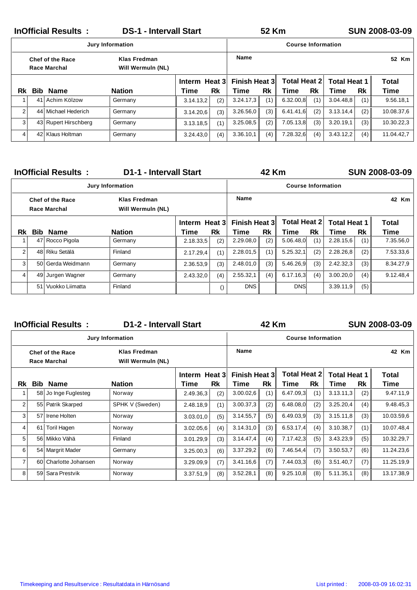|                |                                            | <b>InOfficial Results:</b>                     | <b>DS-1 - Intervall Start</b>     |               |     | 52 Km         |     |                           |     |                     | <b>SUN 2008-03-09</b> |              |
|----------------|--------------------------------------------|------------------------------------------------|-----------------------------------|---------------|-----|---------------|-----|---------------------------|-----|---------------------|-----------------------|--------------|
|                |                                            |                                                | <b>Jury Information</b>           |               |     |               |     | <b>Course Information</b> |     |                     |                       |              |
|                |                                            | <b>Chef of the Race</b><br><b>Race Marchal</b> | Klas Fredman<br>Will Wermuln (NL) |               |     | <b>Name</b>   |     |                           |     |                     |                       | 52 Km        |
|                |                                            |                                                |                                   | Interm Heat 3 |     | Finish Heat 3 |     | <b>Total Heat 2</b>       |     | <b>Total Heat 1</b> |                       | <b>Total</b> |
|                | Bib.<br><b>Nation</b><br>Rk<br><b>Name</b> |                                                |                                   | Time          | Rk  | Time          | Rk  | Time                      | Rk  | Time                | Rk                    | Time         |
|                |                                            | 41 Achim Kölzow                                | Germany                           | 3.14.13.2     | (2) | 3.24.17,3     | (1) | 6.32.00,8                 | (1) | 3.04.48,8           | (1)                   | 9.56.18,1    |
| $\overline{2}$ |                                            | 44 Michael Hederich                            | Germany                           | 3.14.20.6     | (3) | 3.26.56,0     | (3) | 6.41.41.6                 | (2) | 3.13.14,4           | (2)                   | 10.08.37,6   |
| 3 <sup>1</sup> |                                            | 43 Rupert Hirschberg                           | Germany                           | 3.13.18,5     | (1) | 3.25.08.5     | (2) | 7.05.13,8                 | (3) | 3.20.19.1           | (3)                   | 10.30.22,3   |
| $\overline{4}$ |                                            | 42 Klaus Holtman                               | Germany                           | 3.24.43,0     | (4) | 3.36.10,1     | (4) | 7.28.32,6                 | (4) | 3.43.12.2           | (4)                   | 11.04.42,7   |

|    | <b>InOfficial Results:</b>                     | <b>D1-1 - Intervall Start</b>     |               |                  |                      | 42 Km |                           |     |                     |     | SUN 2008-03-09 |
|----|------------------------------------------------|-----------------------------------|---------------|------------------|----------------------|-------|---------------------------|-----|---------------------|-----|----------------|
|    |                                                | <b>Jury Information</b>           |               |                  |                      |       | <b>Course Information</b> |     |                     |     |                |
|    | <b>Chef of the Race</b><br><b>Race Marchal</b> | Klas Fredman<br>Will Wermuln (NL) |               |                  | Name                 |       |                           |     |                     |     | 42 Km          |
|    |                                                |                                   | Interm Heat 3 |                  | <b>Finish Heat 3</b> |       | <b>Total Heat 2</b>       |     | <b>Total Heat 1</b> |     | <b>Total</b>   |
| Rk | <b>Bib Name</b>                                | <b>Nation</b>                     | Time          | Rk               | Time                 | Rk    | Time                      | Rk  | Time                | Rk  | Time           |
|    | 47 Rocco Pigola                                | Germany                           | 2.18.33.5     | (2)              | 2.29.08,0            | (2)   | 5.06.48,0                 | (1) | 2.28.15,6           | (1) | 7.35.56,0      |
| 2  | 48 Riku Setälä                                 | Finland                           | 2.17.29,4     | (1)              | 2.28.01,5            | (1)   | 5.25.32,1                 | (2) | 2.28.26,8           | (2) | 7.53.33,6      |
| 3  | 50 Gerda Weidmann                              | Germany                           | 2.36.53,9     | (3)              | 2.48.01,0            | (3)   | 5.46.26,9                 | (3) | 2.42.32,3           | (3) | 8.34.27,9      |
| 4  | 49 Jurgen Wagner                               | Germany                           | 2.43.32,0     | (4)              | 2.55.32,1            | (4)   | 6.17.16,3                 | (4) | 3.00.20,0           | (4) | 9.12.48,4      |
|    | 51 Vuokko Liimatta                             | Finland                           |               | $\left( \right)$ | <b>DNS</b>           |       | <b>DNS</b>                |     | 3.39.11,9           | (5) |                |

|    |     | <b>InOfficial Results:</b>                     | <b>D1-2 - Intervall Start</b>     |               |     |                      | <b>42 Km</b> |                           |     |                     |     | <b>SUN 2008-03-09</b> |
|----|-----|------------------------------------------------|-----------------------------------|---------------|-----|----------------------|--------------|---------------------------|-----|---------------------|-----|-----------------------|
|    |     |                                                | <b>Jury Information</b>           |               |     |                      |              | <b>Course Information</b> |     |                     |     |                       |
|    |     | <b>Chef of the Race</b><br><b>Race Marchal</b> | Klas Fredman<br>Will Wermuln (NL) |               |     | <b>Name</b>          |              |                           |     |                     |     | 42 Km                 |
|    |     |                                                |                                   | Interm Heat 3 |     | <b>Finish Heat 3</b> |              | Total Heat 2              |     | <b>Total Heat 1</b> |     | Total                 |
| Rk | Bib | <b>Name</b>                                    | <b>Nation</b>                     | Time          | Rk  | Time                 | Rk           | Time                      | Rk  | Time                | Rk  | Time                  |
| 1  |     | 58 Jo Inge Fuglesteg                           | Norway                            | 2.49.36,3     | (2) | 3.00.02,6            | (1)          | 6.47.09.3                 | (1) | 3.13.11,3           | (2) | 9.47.11,9             |
| 2  |     | 55 Patrik Skarped                              | SPHK V (Sweden)                   | 2.48.18,9     | (1) | 3.00.37,3            | (2)          | 6.48.08,0                 | (2) | 3.25.20,4           | (4) | 9.48.45,3             |
| 3  | 57  | Irene Holten                                   | Norway                            | 3.03.01,0     | (5) | 3.14.55,7            | (5)          | 6.49.03,9                 | (3) | 3.15.11,8           | (3) | 10.03.59,6            |
| 4  | 61  | Toril Hagen                                    | Norway                            | 3.02.05,6     | (4) | 3.14.31,0            | (3)          | 6.53.17,4                 | (4) | 3.10.38,7           | (1) | 10.07.48,4            |
| 5  |     | 56 Mikko Vähä                                  | Finland                           | 3.01.29,9     | (3) | 3.14.47,4            | (4)          | 7.17.42,3                 | (5) | 3.43.23,9           | (5) | 10.32.29,7            |
| 6  |     | 54 Margrit Mader                               | Germany                           | 3.25.00,3     | (6) | 3.37.29,2            | (6)          | 7.46.54,4                 | (7) | 3.50.53,7           | (6) | 11.24.23,6            |
| 7  |     | 60 Charlotte Johansen                          | Norway                            | 3.29.09,9     | (7) | 3.41.16,6            | (7)          | 7.44.03,3                 | (6) | 3.51.40,7           | (7) | 11.25.19,9            |
| 8  |     | 59 Sara Prestvik                               | Norway                            | 3.37.51,9     | (8) | 3.52.28,1            | (8)          | 9.25.10,8                 | (8) | 5.11.35,1           | (8) | 13.17.38,9            |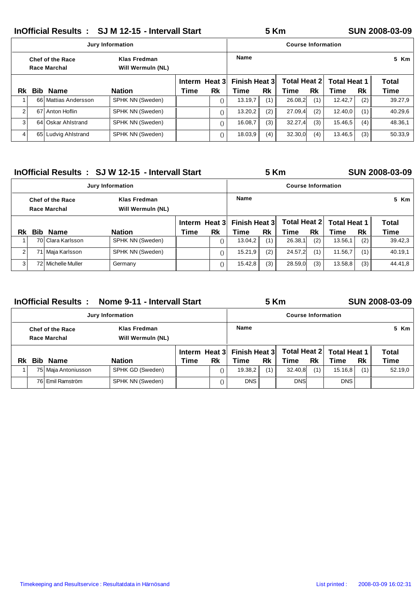**InOfficial Results : SJ M 12-15 - Intervall Start 5Km SUN 2008-03-09** 

|                |            |                                         | <b>Jury Information</b>           |               |                  |                      |     | <b>Course Information</b> |     |                     |     |              |
|----------------|------------|-----------------------------------------|-----------------------------------|---------------|------------------|----------------------|-----|---------------------------|-----|---------------------|-----|--------------|
|                |            | Chef of the Race<br><b>Race Marchal</b> | Klas Fredman<br>Will Wermuln (NL) |               |                  | <b>Name</b>          |     |                           |     |                     |     | 5 Km         |
|                |            |                                         |                                   | Interm Heat 3 |                  | <b>Finish Heat 3</b> |     | Total Heat 2              |     | <b>Total Heat 1</b> |     | <b>Total</b> |
| Rk             | <b>Bib</b> | <b>Name</b>                             | <b>Nation</b>                     | <b>Time</b>   | Rk               | Time                 | Rk  | Time                      | Rk  | Time                | Rk  | Time         |
|                |            | 66 Mattias Andersson                    | SPHK NN (Sweden)                  |               | $\left( \right)$ | 13.19.7              | (1) | 26.08.2                   | (1) | 12.42.7             | (2) | 39.27,9      |
| $\overline{2}$ |            | 67 Anton Hoflin                         | SPHK NN (Sweden)                  |               | $\left( \right)$ | 13.20,2              | (2) | 27.09,4                   | (2) | 12.40,0             | (1) | 40.29,6      |
| 3              |            | 64 Oskar Ahlstrand                      | SPHK NN (Sweden)                  |               | $\left( \right)$ | 16.08.7              | (3) | 32.27.4                   | (3) | 15.46,5             | (4) | 48.36,1      |
| 4              |            | 65 Ludvig Ahlstrand                     | SPHK NN (Sweden)                  |               | $\left( \right)$ | 18.03,9              | (4) | 32.30,0                   | (4) | 13.46,5             | (3) | 50.33,9      |

|                |                                                                              |                    | InOfficial Results : SJ W 12-15 - Intervall Start |      |                  |                      | <b>5 Km</b> |                           |     |                     |     | <b>SUN 2008-03-09</b> |
|----------------|------------------------------------------------------------------------------|--------------------|---------------------------------------------------|------|------------------|----------------------|-------------|---------------------------|-----|---------------------|-----|-----------------------|
|                |                                                                              |                    | <b>Jury Information</b>                           |      |                  |                      |             | <b>Course Information</b> |     |                     |     |                       |
|                | Klas Fredman<br><b>Chef of the Race</b><br>Race Marchal<br>Will Wermuln (NL) |                    |                                                   |      |                  | <b>Name</b>          |             |                           |     |                     |     | 5 Km                  |
|                |                                                                              |                    |                                                   |      | Interm Heat 3    | <b>Finish Heat 3</b> |             | Total Heat 2              |     | <b>Total Heat 1</b> |     | <b>Total</b>          |
| Rk             | <b>Bib</b>                                                                   | <b>Name</b>        | <b>Nation</b>                                     | Time | Rk               | Time                 | Rk          | Time                      | Rk  | Time                | Rk  | Time                  |
|                |                                                                              | 70 Clara Karlsson  | SPHK NN (Sweden)                                  |      | $\left( \right)$ | 13.04.2              | (1)         | 26.38,1                   | (2) | 13.56.1             | (2) | 39.42.3               |
| $\overline{2}$ |                                                                              | 71 Maja Karlsson   | SPHK NN (Sweden)                                  |      | $\left( \right)$ | 15.21.9              | (2)         | 24.57.2                   | (1) | 11.56,7             | (1) | 40.19,1               |
| 3              |                                                                              | 72 Michelle Muller | Germany                                           |      | $\left( \right)$ | 15.42.8              | (3)         | 28.59,0                   | (3) | 13.58.8             | (3) | 44.41.8               |

|    |      | <b>InOfficial Results:</b>                     | Nome 9-11 - Intervall Start       |      |                  |               | <b>5 Km</b> |                           |     |                     |     | <b>SUN 2008-03-09</b> |
|----|------|------------------------------------------------|-----------------------------------|------|------------------|---------------|-------------|---------------------------|-----|---------------------|-----|-----------------------|
|    |      |                                                | <b>Jury Information</b>           |      |                  |               |             | <b>Course Information</b> |     |                     |     |                       |
|    |      | <b>Chef of the Race</b><br><b>Race Marchal</b> | Klas Fredman<br>Will Wermuln (NL) |      |                  | <b>Name</b>   |             |                           |     |                     |     | 5 Km                  |
|    |      |                                                |                                   |      | Interm Heat 3    | Finish Heat 3 |             | Total Heat 2 I            |     | <b>Total Heat 1</b> |     | Total                 |
| Rk | Bib. | <b>Name</b>                                    | <b>Nation</b>                     | Time | Rk               | Time          | Rk          | Time                      | Rk  | Time                | Rk  | Time                  |
|    |      | 75 Maja Antoniusson                            | SPHK GD (Sweden)                  |      | $\left( \right)$ | 19.38,2       | (1)         | 32.40.8                   | (1) | 15.16, 8            | (1) | 52.19,0               |
|    |      | 76 Emil Ramström                               | SPHK NN (Sweden)                  |      |                  | <b>DNS</b>    |             | <b>DNS</b>                |     | <b>DNS</b>          |     |                       |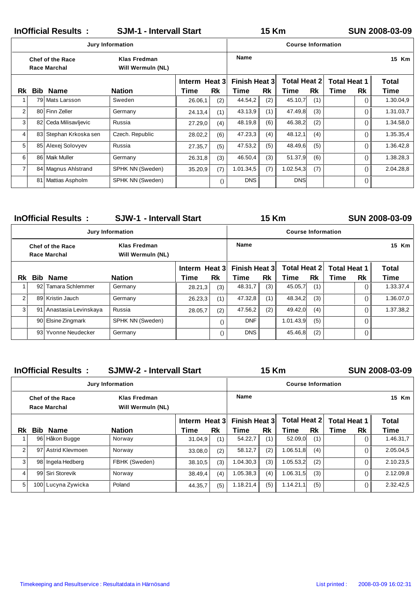|                |            | <b>InOfficial Results:</b>                     |                                   |               | <b>15 Km</b>     |                      |     |                           |     | <b>SUN 2008-03-09</b> |                  |              |
|----------------|------------|------------------------------------------------|-----------------------------------|---------------|------------------|----------------------|-----|---------------------------|-----|-----------------------|------------------|--------------|
|                |            |                                                | <b>Jury Information</b>           |               |                  |                      |     | <b>Course Information</b> |     |                       |                  |              |
|                |            | <b>Chef of the Race</b><br><b>Race Marchal</b> | Klas Fredman<br>Will Wermuln (NL) |               |                  | Name                 |     |                           |     |                       |                  | 15 Km        |
|                |            |                                                |                                   | Interm Heat 3 |                  | <b>Finish Heat 3</b> |     | <b>Total Heat 2</b>       |     | <b>Total Heat 1</b>   |                  | <b>Total</b> |
| Rk             | <b>Bib</b> | <b>Name</b>                                    | <b>Nation</b>                     | <b>Time</b>   | Rk               | Time                 | Rk  | Time                      | Rk  | <b>Time</b>           | Rk               | Time         |
| $\mathbf{1}$   |            | 79 Mats Larsson                                | Sweden                            | 26.06,1       | (2)              | 44.54,2              | (2) | 45.10,7                   | (1) |                       | $\left( \right)$ | 1.30.04,9    |
| 2              |            | 80 Finn Zeller                                 | Germany                           | 24.13,4       | (1)              | 43.13,9              | (1) | 47.49,8                   | (3) |                       | $\left( \right)$ | 1.31.03,7    |
| 3 <sup>1</sup> |            | 82 Ceda Milisavljevic                          | Russia                            | 27.29,0       | (4)              | 48.19,8              | (6) | 46.38,2                   | (2) |                       | $\left( \right)$ | 1.34.58,0    |
| 4              |            | 83 Stephan Krkoska sen                         | Czech. Republic                   | 28.02,2       | (6)              | 47.23,3              | (4) | 48.12,1                   | (4) |                       | $\left( \right)$ | 1.35.35,4    |
| 5              |            | 85 Alexej Solovyev                             | Russia                            | 27.35,7       | (5)              | 47.53,2              | (5) | 48.49,6                   | (5) |                       | $\left( \right)$ | 1.36.42,8    |
| 6              |            | 86 Maik Muller                                 | Germany                           | 26.31,8       | (3)              | 46.50,4              | (3) | 51.37,9                   | (6) |                       | $\left( \right)$ | 1.38.28,3    |
| $\overline{7}$ |            | 84 Magnus Ahlstrand                            | SPHK NN (Sweden)                  | 35.20,9       | (7)              | 1.01.34,5            | (7) | 1.02.54,3                 | (7) |                       | $\left( \right)$ | 2.04.28,8    |
|                |            | 81 Mattias Aspholm                             | SPHK NN (Sweden)                  |               | $\left( \right)$ | <b>DNS</b>           |     | <b>DNS</b>                |     |                       | $\left( \right)$ |              |

|           |     | <b>InOfficial Results:</b>                     | <b>SJW-1 - Intervall Start</b>    |               |                  |                      | <b>15 Km</b> |                           |     |                     |    | <b>SUN 2008-03-09</b> |
|-----------|-----|------------------------------------------------|-----------------------------------|---------------|------------------|----------------------|--------------|---------------------------|-----|---------------------|----|-----------------------|
|           |     |                                                | <b>Jury Information</b>           |               |                  |                      |              | <b>Course Information</b> |     |                     |    |                       |
|           |     | <b>Chef of the Race</b><br><b>Race Marchal</b> | Klas Fredman<br>Will Wermuln (NL) |               |                  | <b>Name</b>          |              |                           |     |                     |    | 15 Km                 |
|           |     |                                                |                                   | Interm Heat 3 |                  | <b>Finish Heat 3</b> |              | <b>Total Heat 21</b>      |     | <b>Total Heat 1</b> |    | <b>Total</b>          |
| <b>Rk</b> |     | <b>Bib Name</b>                                | <b>Nation</b>                     | <b>Time</b>   | Rk               | Time                 | Rk           | Time                      | Rk  | Time                | Rk | <b>Time</b>           |
|           | 92  | Tamara Schlemmer                               | Germany                           | 28.21,3       | (3)              | 48.31,7              | (3)          | 45.05,7                   | (1) |                     |    | 1.33.37,4             |
| 2         |     | 89 Kristin Jauch                               | Germany                           | 26.23,3       | (1)              | 47.32,8              | (1)          | 48.34,2                   | (3) |                     |    | 1.36.07,0             |
| 3         | 91  | Anastasia Levinskaya                           | Russia                            | 28.05,7       | (2)              | 47.56,2              | (2)          | 49.42,0                   | (4) |                     |    | 1.37.38,2             |
|           |     | 90 Elsine Zingmark                             | SPHK NN (Sweden)                  |               | $\left( \right)$ | <b>DNF</b>           |              | 1.01.43,9                 | (5) |                     |    |                       |
|           | 931 | Yvonne Neudecker                               | Germany                           |               | $\left( \right)$ | <b>DNS</b>           |              | 45.46,8                   | (2) |                     |    |                       |

|                |            | <b>InOfficial Results:</b>                     | <b>SJMW-2 - Intervall Start</b>   |               |     | <b>15 Km</b>         |     |                           |     |                     | <b>SUN 2008-03-09</b> |              |
|----------------|------------|------------------------------------------------|-----------------------------------|---------------|-----|----------------------|-----|---------------------------|-----|---------------------|-----------------------|--------------|
|                |            |                                                | <b>Jury Information</b>           |               |     |                      |     | <b>Course Information</b> |     |                     |                       |              |
|                |            | <b>Chef of the Race</b><br><b>Race Marchal</b> | Klas Fredman<br>Will Wermuln (NL) |               |     | <b>Name</b>          |     |                           |     |                     |                       | 15 Km        |
|                |            |                                                |                                   | Interm Heat 3 |     | <b>Finish Heat 3</b> |     | <b>Total Heat 2</b>       |     | <b>Total Heat 1</b> |                       | <b>Total</b> |
| Rk.            | <b>Bib</b> | <b>Name</b>                                    | <b>Nation</b>                     | Time          | Rk  | Time                 | Rk  | Time                      | Rk  | Time                | Rk                    | Time         |
|                |            | 96 Håkon Bugge                                 | Norway                            | 31.04,9       | (1) | 54.22,7              | (1) | 52.09,0                   | (1) |                     |                       | 1.46.31,7    |
| 2 <sub>1</sub> |            | 97 Astrid Kleymoen                             | Norway                            | 33.08,0       | (2) | 58.12,7              | (2) | 1.06.51,8                 | (4) |                     | $\left( \right)$      | 2.05.04,5    |
| 3              |            | 98 Ingela Hedberg                              | FBHK (Sweden)                     | 38.10,5       | (3) | 1.04.30,3            | (3) | 1.05.53,2                 | (2) |                     | $\left( \right)$      | 2.10.23,5    |
| $\overline{4}$ |            | 99 Siri Storevik                               | Norway                            | 38.49,4       | (4) | 1.05.38,3            | (4) | 1.06.31,5                 | (3) |                     | $\left( \right)$      | 2.12.09,8    |
| 5              |            | 100 Lucyna Zywicka                             | Poland                            | 44.35,7       | (5) | 1.18.21,4            | (5) | 1.14.21,1                 | (5) |                     | $\left( \right)$      | 2.32.42,5    |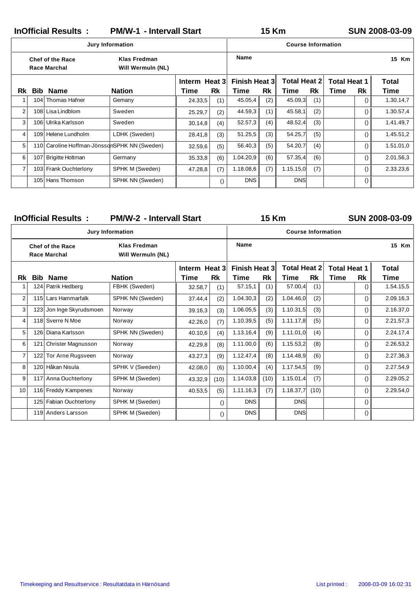InOfficial Results : PM/W-1 - Intervall Start 15 Km SUN 2008-03-09

## **15 Km**

|                |     | <b>Jury Information</b>                        |                                   |               |                  | <b>Course Information</b> |     |                     |     |                     |                  |              |
|----------------|-----|------------------------------------------------|-----------------------------------|---------------|------------------|---------------------------|-----|---------------------|-----|---------------------|------------------|--------------|
|                |     | <b>Chef of the Race</b><br><b>Race Marchal</b> | Klas Fredman<br>Will Wermuln (NL) |               |                  | Name                      |     |                     |     |                     |                  | 15 Km        |
|                |     |                                                |                                   | Interm Heat 3 |                  | Finish Heat 3             |     | <b>Total Heat 2</b> |     | <b>Total Heat 1</b> |                  | <b>Total</b> |
| Rk             |     | <b>Bib Name</b>                                | <b>Nation</b>                     | Time          | Rk               | Time                      | Rk  | Time                | Rk  | Time                | Rk               | Time         |
| 1              | 104 | Thomas Hafner                                  | Gemany                            | 24.33,5       | (1)              | 45.05,4                   | (2) | 45.09,3             | (1) |                     | $\left( \right)$ | 1.30.14,7    |
| 2              |     | 108 Lisa Lindblom                              | Sweden                            | 25.29,7       | (2)              | 44.59,3                   | (1) | 45.58,1             | (2) |                     | $\left( \right)$ | 1.30.57,4    |
| 3              |     | 106 Ulrika Karlsson                            | Sweden                            | 30.14,8       | (4)              | 52.57,3                   | (4) | 48.52,4             | (3) |                     | $\left( \right)$ | 1.41.49,7    |
| 4              |     | 109 Helene Lundholm                            | LDHK (Sweden)                     | 28.41,8       | (3)              | 51.25,5                   | (3) | 54.25,7             | (5) |                     | $\left( \right)$ | 1.45.51,2    |
| 5              |     | 110 Caroline Hoffman-JönssdnSPHK NN (Sweden)   |                                   | 32.59,6       | (5)              | 56.40,3                   | (5) | 54.20,7             | (4) |                     | $\left( \right)$ | 1.51.01,0    |
| 6              | 107 | <b>Brigitte Holtman</b>                        | Germany                           | 35.33.8       | (6)              | 1.04.20,9                 | (6) | 57.35,4             | (6) |                     | $\left( \right)$ | 2.01.56,3    |
| $\overline{7}$ |     | 103 Frank Ouchterlony                          | SPHK M (Sweden)                   | 47.28,8       | (7)              | 1.18.08.6                 | (7) | 1.15.15,0           | (7) |                     | $\left( \right)$ | 2.33.23,6    |
|                | 105 | Hans Thomson                                   | SPHK NN (Sweden)                  |               | $\left( \right)$ | <b>DNS</b>                |     | <b>DNS</b>          |     |                     | $\left( \right)$ |              |

| <b>InOfficial Results:</b><br><b>PM/W-2 - Intervall Start</b> |     |                                                |                                          |               |                  |                      | <b>15 Km</b> |                           |           |                     |                  | <b>SUN 2008-03-09</b> |
|---------------------------------------------------------------|-----|------------------------------------------------|------------------------------------------|---------------|------------------|----------------------|--------------|---------------------------|-----------|---------------------|------------------|-----------------------|
|                                                               |     |                                                | <b>Jury Information</b>                  |               |                  |                      |              | <b>Course Information</b> |           |                     |                  |                       |
|                                                               |     | <b>Chef of the Race</b><br><b>Race Marchal</b> | <b>Klas Fredman</b><br>Will Wermuln (NL) |               |                  | <b>Name</b>          |              |                           |           |                     |                  | 15 Km                 |
|                                                               |     |                                                |                                          | Interm Heat 3 |                  | <b>Finish Heat 3</b> |              | <b>Total Heat 2</b>       |           | <b>Total Heat 1</b> |                  | <b>Total</b>          |
| Rk                                                            | Bib | <b>Name</b>                                    | <b>Nation</b>                            | Time          | Rk               | <b>Time</b>          | <b>Rk</b>    | Time                      | <b>Rk</b> | Time                | <b>Rk</b>        | Time                  |
| 1                                                             |     | 124 Patrik Hedberg                             | FBHK (Sweden)                            | 32.58,7       | (1)              | 57.15,1              | (1)          | 57.00,4                   | (1)       |                     | $\left( \right)$ | 1.54.15,5             |
| $\overline{2}$                                                |     | 115 Lars Hammarfalk                            | SPHK NN (Sweden)                         | 37.44,4       | (2)              | 1.04.30,3            | (2)          | 1.04.46,0                 | (2)       |                     | $\left( \right)$ | 2.09.16,3             |
| 3                                                             | 123 | Jon Inge Skyrudsmoen                           | Norway                                   | 39.16,3       | (3)              | 1.06.05,5            | (3)          | 1.10.31,5                 | (3)       |                     | $\left( \right)$ | 2.16.37,0             |
| 4                                                             |     | 118 Sverre N Moe                               | Norway                                   | 42.26,0       | (7)              | 1.10.39,5            | (5)          | 1.11.17,8                 | (5)       |                     | $\left( \right)$ | 2.21.57,3             |
| 5                                                             |     | 126 Diana Karlsson                             | SPHK NN (Sweden)                         | 40.10,6       | (4)              | 1.13.16,4            | (9)          | 1.11.01,0                 | (4)       |                     | $\left( \right)$ | 2.24.17,4             |
| 6                                                             | 121 | <b>Christer Magnusson</b>                      | Norway                                   | 42.29,8       | (8)              | 1.11.00,0            | (6)          | 1.15.53,2                 | (8)       |                     | $\left( \right)$ | 2.26.53,2             |
| $\overline{7}$                                                |     | 122 Tor Arne Rugsveen                          | Norway                                   | 43.27,3       | (9)              | 1.12.47,4            | (8)          | 1.14.48,9                 | (6)       |                     | $\left( \right)$ | 2.27.36,3             |
| 8                                                             |     | 120 Håkan Nisula                               | SPHK V (Sweden)                          | 42.08,0       | (6)              | 1.10.00,4            | (4)          | 1.17.54,5                 | (9)       |                     | $\left( \right)$ | 2.27.54,9             |
| 9                                                             |     | 117 Anna Ouchterlony                           | SPHK M (Sweden)                          | 43.32,9       | (10)             | 1.14.03,8            | (10)         | 1.15.01,4                 | (7)       |                     | $\left( \right)$ | 2.29.05,2             |
| 10                                                            |     | 116 Freddy Kampenes                            | Norway                                   | 40.53,5       | (5)              | 1.11.16,3            | (7)          | 1.18.37,7                 | (10)      |                     | $\left( \right)$ | 2.29.54,0             |
|                                                               |     | 125 Fabian Ouchterlony                         | SPHK M (Sweden)                          |               | $\left( \right)$ | <b>DNS</b>           |              | <b>DNS</b>                |           |                     | $\left( \right)$ |                       |
|                                                               |     | 119 Anders Larsson                             | SPHK M (Sweden)                          |               | $\left( \right)$ | <b>DNS</b>           |              | <b>DNS</b>                |           |                     | $\left( \right)$ |                       |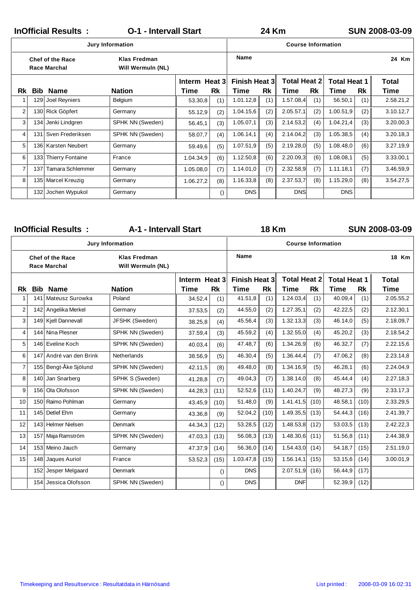|                |                  | <b>InOfficial Results:</b>                     | <b>O-1 - Intervall Start</b>             |               | <b>24 Km</b>     |                      |     |                           |     |                     | <b>SUN 2008-03-09</b> |              |
|----------------|------------------|------------------------------------------------|------------------------------------------|---------------|------------------|----------------------|-----|---------------------------|-----|---------------------|-----------------------|--------------|
|                |                  |                                                | <b>Jury Information</b>                  |               |                  |                      |     | <b>Course Information</b> |     |                     |                       |              |
|                |                  | <b>Chef of the Race</b><br><b>Race Marchal</b> | <b>Klas Fredman</b><br>Will Wermuln (NL) |               |                  | <b>Name</b>          |     |                           |     |                     |                       | 24 Km        |
|                |                  |                                                |                                          | Interm Heat 3 |                  | <b>Finish Heat 3</b> |     | <b>Total Heat 2</b>       |     | <b>Total Heat 1</b> |                       | <b>Total</b> |
| <b>Rk</b>      | Bib              | <b>Name</b>                                    | <b>Nation</b>                            | Time          | Rk               | Time                 | Rk  | Time                      | Rk  | Time                | Rk                    | Time         |
| 1              | 129              | Joel Reyniers                                  | Belgium                                  | 53.30,8       | (1)              | 1.01.12,8            | (1) | 1.57.08,4                 | (1) | 56.50,1             | (1)                   | 2.58.21,2    |
| 2              |                  | 130 Rick Göpfert                               | Germany                                  | 55.12,9       | (2)              | 1.04.15,6            | (2) | 2.05.57,1                 | (2) | 1.00.51,9           | (2)                   | 3.10.12,7    |
| 3              | 134              | Jenki Lindgren                                 | SPHK NN (Sweden)                         | 56.45,1       | (3)              | 1.05.07,1            | (3) | 2.14.53,2                 | (4) | 1.04.21,4           | (3)                   | 3.20.00,3    |
| 4              |                  | 131 Sven Frederiksen                           | SPHK NN (Sweden)                         | 58.07,7       | (4)              | 1.06.14,1            | (4) | 2.14.04,2                 | (3) | 1.05.38,5           | (4)                   | 3.20.18,3    |
| 5              |                  | 136 Karsten Neubert                            | Germany                                  | 59.49,6       | (5)              | 1.07.51,9            | (5) | 2.19.28,0                 | (5) | 1.08.48,0           | (6)                   | 3.27.19,9    |
| 6              | 133 <sub>1</sub> | Thierry Fontaine                               | France                                   | 1.04.34,9     | (6)              | 1.12.50,8            | (6) | 2.20.09,3                 | (6) | 1.08.08.1           | (5)                   | 3.33.00,1    |
| $\overline{7}$ | 137              | Tamara Schlemmer                               | Germany                                  | 1.05.08,0     | (7)              | 1.14.01,0            | (7) | 2.32.58,9                 | (7) | 1.11.18,1           | (7)                   | 3.46.59,9    |
| 8              |                  | 135 Marcel Kreuzig                             | Germany                                  | 1.06.27,2     | (8)              | 1.16.33,8            | (8) | 2.37.53,7                 | (8) | 1.15.29,0           | (8)                   | 3.54.27,5    |
|                | 132              | Jochen Wypukol                                 | Germany                                  |               | $\left( \right)$ | <b>DNS</b>           |     | <b>DNS</b>                |     | <b>DNS</b>          |                       |              |

|                |            | <b>InOfficial Results:</b>                     | A-1 - Intervall Start                    |               |                  |                      | <b>18 Km</b> |                           |           |                     |           | SUN 2008-03-09 |
|----------------|------------|------------------------------------------------|------------------------------------------|---------------|------------------|----------------------|--------------|---------------------------|-----------|---------------------|-----------|----------------|
|                |            |                                                | <b>Jury Information</b>                  |               |                  |                      |              | <b>Course Information</b> |           |                     |           |                |
|                |            | <b>Chef of the Race</b><br><b>Race Marchal</b> | <b>Klas Fredman</b><br>Will Wermuln (NL) |               |                  | Name                 |              |                           |           |                     |           | 18 Km          |
|                |            |                                                |                                          | Interm Heat 3 |                  | <b>Finish Heat 3</b> |              | <b>Total Heat 2</b>       |           | <b>Total Heat 1</b> |           | Total          |
| Rk             | <b>Bib</b> | <b>Name</b>                                    | <b>Nation</b>                            | <b>Time</b>   | <b>Rk</b>        | <b>Time</b>          | <b>Rk</b>    | <b>Time</b>               | <b>Rk</b> | <b>Time</b>         | <b>Rk</b> | <b>Time</b>    |
| 1              | 141        | Mateusz Surowka                                | Poland                                   | 34.52,4       | (1)              | 41.51,8              | (1)          | 1.24.03,4                 | (1)       | 40.09,4             | (1)       | 2.05.55,2      |
| $\overline{2}$ |            | 142 Angelika Merkel                            | Germany                                  | 37.53,5       | (2)              | 44.55,0              | (2)          | 1.27.35,1                 | (2)       | 42.22,5             | (2)       | 2.12.30,1      |
| 3              |            | 149 Kjell Dannevall                            | JFSHK (Sweden)                           | 38.25,8       | (4)              | 45.56,4              | (3)          | 1.32.13,3                 | (3)       | 46.14,0             | (5)       | 2.18.09,7      |
| 4              | 144        | Nina Plesner                                   | SPHK NN (Sweden)                         | 37.59,4       | (3)              | 45.59,2              | (4)          | 1.32.55,0                 | (4)       | 45.20,2             | (3)       | 2.18.54,2      |
| 5              |            | 146 Eveline Koch                               | SPHK NN (Sweden)                         | 40.03,4       | (6)              | 47.48,7              | (6)          | 1.34.26,9                 | (6)       | 46.32,7             | (7)       | 2.22.15,6      |
| 6              | 147        | André van den Brink                            | Netherlands                              | 38.56,9       | (5)              | 46.30,4              | (5)          | 1.36.44,4                 | (7)       | 47.06,2             | (8)       | 2.23.14,8      |
| $\overline{7}$ | 155        | Bengt-Åke Sjölund                              | SPHK NN (Sweden)                         | 42.11,5       | (8)              | 49.48,0              | (8)          | 1.34.16,9                 | (5)       | 46.28,1             | (6)       | 2.24.04,9      |
| 8              |            | 140 Jan Snarberg                               | SPHK S (Sweden)                          | 41.28,8       | (7)              | 49.04,3              | (7)          | 1.38.14,0                 | (8)       | 45.44,4             | (4)       | 2.27.18,3      |
| 9              |            | 156 Ola Olofsson                               | SPHK NN (Sweden)                         | 44.28,3       | (11)             | 52.52,6              | (11)         | 1.40.24,7                 | (9)       | 48.27,3             | (9)       | 2.33.17,3      |
| 10             | 150        | Raimo Pohlman                                  | Germany                                  | 43.45,9       | (10)             | 51.48,0              | (9)          | 1.41.41,5                 | (10)      | 48.58,1             | (10)      | 2.33.29,5      |
| 11             | 145        | Detlef Ehm                                     | Germany                                  | 43.36,8       | (9)              | 52.04,2              | (10)         | 1.49.35,5                 | (13)      | 54.44,3             | (16)      | 2.41.39,7      |
| 12             | 143        | <b>Helmer Nielsen</b>                          | Denmark                                  | 44.34,3       | (12)             | 53.28,5              | (12)         | 1.48.53,8                 | (12)      | 53.03,5             | (13)      | 2.42.22,3      |
| 13             | 157        | Maja Ramström                                  | SPHK NN (Sweden)                         | 47.03,3       | (13)             | 56.08,3              | (13)         | 1.48.30,6                 | (11)      | 51.56,8             | (11)      | 2.44.38,9      |
| 14             | 153        | Meino Jauch                                    | Germany                                  | 47.37,9       | (14)             | 56.36,0              | (14)         | 1.54.43,0                 | (14)      | 54.18,7             | (15)      | 2.51.19,0      |
| 15             | 148        | Jaques Auriol                                  | France                                   | 53.52,3       | (15)             | 1.03.47,8            | (15)         | 1.56.14,1                 | (15)      | 53.15,6             | (14)      | 3.00.01,9      |
|                | 152        | Jesper Melgaard                                | Denmark                                  |               | $\left( \right)$ | <b>DNS</b>           |              | 2.07.51,9                 | (16)      | 56.44,9             | (17)      |                |
|                | 154        | Jessica Olofsson                               | SPHK NN (Sweden)                         |               | $\left( \right)$ | <b>DNS</b>           |              | <b>DNF</b>                |           | 52.39,9             | (12)      |                |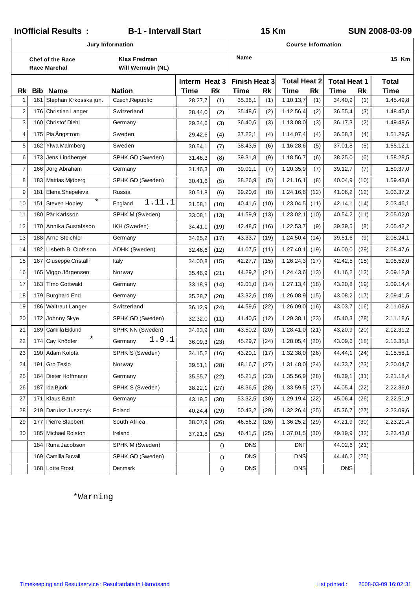|                |                                                                                                   | InOfficial Results:                                                                                            | <b>B-1 - Intervall Start</b>                                                                                              |                |                  |            | 15 Km              |            |                |              |           | SUN 2008-03-09      |
|----------------|---------------------------------------------------------------------------------------------------|----------------------------------------------------------------------------------------------------------------|---------------------------------------------------------------------------------------------------------------------------|----------------|------------------|------------|--------------------|------------|----------------|--------------|-----------|---------------------|
|                |                                                                                                   | Jury Information                                                                                               |                                                                                                                           |                |                  |            | Course Information |            |                |              |           |                     |
|                |                                                                                                   | Chef of the Race<br>Race Marchal                                                                               | Name<br>Klas Fredman<br>Will Wermuln (NL)<br><b>Total Heat 2</b><br>Finish Heat 3<br><b>Total Heat 1</b><br>Interm Heat 3 |                |                  |            |                    |            | 15 Km          |              |           |                     |
| Rk             | <b>Bib</b>                                                                                        | Name                                                                                                           | <b>Nation</b>                                                                                                             | Time           | <b>Rk</b>        | Time       | <b>Rk</b>          | Time       | <b>Rk</b>      | Time         | <b>Rk</b> | Total<br>Time       |
| 1              | 161                                                                                               | Stephan Krkosska jun.                                                                                          | Czech.Republic                                                                                                            | 28.27,7        | (1)              | 35.36,1    | (1)                | 1.10.13,7  | (1)            | 34.40,9      | (1)       | 1.45.49,8           |
| 2              |                                                                                                   | 176 Christian Langer                                                                                           | Switzerland                                                                                                               | 28.44,0        | (2)              | 35.48,6    | (2)                | 1.12.56,4  | (2)            | 36.55,4      | (3)       | 1.48.45,0           |
| 3              | 160                                                                                               | <b>Christof Diehl</b>                                                                                          | Germany                                                                                                                   | 29.24,6        | (3)              | 36.40,6    | (3)                | 1.13.08,0  | (3)            | 36.17,3      | (2)       | 1.49.48,6           |
| 4              | 175                                                                                               | Pia Ångström                                                                                                   | Sweden                                                                                                                    | 29.42,6        | (4)              | 37.22,1    | (4)                | 1.14.07,4  | (4)            | 36.58,3      | (4)       | 1.51.29,5           |
| 5              | 162<br>Ylwa Malmberg<br>38.43,5<br>1.16.28,6<br>Sweden<br>(6)<br>30.54,1<br>(7)                   |                                                                                                                |                                                                                                                           |                |                  |            | (5)                | 37.01,8    | (5)            | 1.55.12,1    |           |                     |
| 6              | 173                                                                                               | Jens Lindberget                                                                                                | SPHK GD (Sweden)                                                                                                          | 31.46,3        | (8)              | 39.31,8    | (9)                | 1.18.56,7  | (6)            | 38.25,0      | (6)       | 1.58.28,5           |
| $\overline{7}$ | 166<br>Jörg Abraham<br>39.01,1<br>1.20.35,9<br>(7)<br>39.12,7<br>(7)<br>Germany<br>(8)<br>31.46,3 |                                                                                                                |                                                                                                                           |                |                  |            |                    | (7)        | 1.59.37,0      |              |           |                     |
| 8              | 183                                                                                               | Mattias Mjöberg<br>38.26,9<br>1.21.16,1<br>40.04,9<br>SPHK GD (Sweden)<br>(5)<br>(8)<br>(10)<br>30.41,6<br>(5) |                                                                                                                           |                |                  |            |                    |            | 1.59.43,0      |              |           |                     |
| 9              | 181                                                                                               | Elena Shepeleva                                                                                                | Russia                                                                                                                    | 30.51,8        | (6)              | 39.20,6    | (8)                | 1.24.16,6  | (12)           | 41.06,2      | (12)      | 2.03.37,2           |
| 10             | 151                                                                                               | $^\star$<br>Steven Hopley                                                                                      | 1.11.1<br>England                                                                                                         | 31.58,1        | (10)             | 40.41,6    | (10)               | 1.23.04,5  | (11)           | 42.14,1      | (14)      | 2.03.46,1           |
| 11             | 180                                                                                               | Pär Karlsson                                                                                                   | SPHK M (Sweden)                                                                                                           | 33.08,1        | (13)             | 41.59,9    | (13)               | 1.23.02,1  | (10)           | 40.54,2      | 2.05.02,0 |                     |
| 12             | 170                                                                                               | Annika Gustafsson                                                                                              | IKH (Sweden)                                                                                                              | 34.41,1        | (19)             | 42.48,5    | (16)               | 1.22.53,7  | (9)            | 39.39,5      | 2.05.42,2 |                     |
| 13             |                                                                                                   | 188 Arno Steichler                                                                                             | Germany                                                                                                                   | 34.25,2        | (17)             | 43.33,7    | (19)               | 1.24.50,4  | (14)           | 39.51,6      | 2.08.24,1 |                     |
| 14             | 182                                                                                               | Lisbeth B. Olofsson                                                                                            | ÄDHK (Sweden)                                                                                                             | 32.46,6        | (12)             | 41.07,5    | (11)               | 1.27.40,1  | (19)           | 46.00,0      | 2.08.47,6 |                     |
| 15             | 167                                                                                               | Giuseppe Cristalli                                                                                             | Italy                                                                                                                     | 34.00,8        | (15)             | 42.27,7    | (15)               | 1.26.24,3  | (17)           | 42.42,5      | 2.08.52,0 |                     |
| 16             | 165                                                                                               | Viggo Jörgensen                                                                                                | Norway                                                                                                                    | 35.46,9        | (21)             | 44.29,2    | (21)               | 1.24.43,6  | (13)           | 41.16,2      | 2.09.12,8 |                     |
| 17             | 163                                                                                               | <b>Timo Gottwald</b>                                                                                           | Germany                                                                                                                   | 33.18,9        | (14)             | 42.01,0    | (14)               | 1.27.13,4  | (18)           | 43.20,8      | 2.09.14,4 |                     |
| 18             | 179                                                                                               | <b>Burghard End</b>                                                                                            | Germany                                                                                                                   | 35.28,7        | (20)             | 43.32,6    | (18)               | 1.26.08,9  | (15)           | 43.08,2      | (17)      | 2.09.41,5           |
| 19             | 186                                                                                               | <b>Waltraut Langer</b>                                                                                         | Switzerland                                                                                                               | 36.12,9        | (24)             | 44.59,6    | (22)               | 1.26.09,0  | (16)           | 43.03,7      | (16)      | 2.11.08,6           |
| 20             | 172                                                                                               | Johnny Skye                                                                                                    | SPHK GD (Sweden)                                                                                                          | 32.32,0        | (11)             | 41.40,5    | (12)               | 1.29.38,1  | (23)           | 45.40,3      | (28)      | 2.11.18,6           |
| 21             | 189                                                                                               | Camilla Eklund                                                                                                 | SPHK NN (Sweden)                                                                                                          | 34.33,9        | (18)             | 43.50,2    | (20)               | 1.28.41,0  | (21)           | 43.20,9      | (20)      | 2.12.31,2           |
| 22             |                                                                                                   | *<br>174 Cay Knödler                                                                                           | .9.1<br>Germany                                                                                                           | $36.09,3$ (23) |                  | 45.29,7    | (24)               | 1.28.05,4  | (20)           | 43.09,6 (18) |           | 2.13.35,1           |
| 23             | 190                                                                                               | Adam Kolota                                                                                                    | SPHK S (Sweden)                                                                                                           | 34.15,2        | (16)             | 43.20,1    | (17)               | 1.32.38,0  | (26)           | 44.44,1      | (24)      | 2.15.58,1           |
| 24             | 191                                                                                               | <b>Gro Teslo</b>                                                                                               | Norway                                                                                                                    | 39.51,1        | (28)             | 48.16,7    | (27)               | 1.31.48,0  | (24)           | 44.33,7      | (23)      | 2.20.04,7           |
| 25             |                                                                                                   | 164 Dieter Hoffmann                                                                                            | Germany                                                                                                                   | 35.55,7        | (22)             | 45.21,5    | (23)               | 1.35.56,9  | (28)           | 48.39,1      | (31)      | 2.21.18,4           |
| 26             | 187                                                                                               | Ida Björk                                                                                                      | SPHK S (Sweden)                                                                                                           | 38.22,1        | (27)             | 48.36,5    | (28)               | 1.33.59,5  | (27)           | 44.05,4      | (22)      | 2.22.36,0           |
| 27             | 171                                                                                               | Klaus Barth                                                                                                    | Germany                                                                                                                   | 43.19,5        | (30)             | 53.32,5    | (30)               | 1.29.19,4  | (22)           | 45.06,4      | (26)      | 2.22.51,9           |
| 28             | 219                                                                                               | Daruisz Juszczyk                                                                                               | Poland                                                                                                                    | 40.24,4        | (29)             | 50.43,2    | (29)               | 1.32.26,4  | (25)           | 45.36,7      | (27)      | 2.23.09,6           |
| 29             | 177                                                                                               | <b>Pierre Slabbert</b>                                                                                         | South Africa                                                                                                              | 38.07,9        | (26)             | 46.56,2    | (26)               | 1.36.25,2  | (29)           | 47.21,9      | (30)      | 2.23.21,4           |
| 30             |                                                                                                   | 185 Michael Rolston                                                                                            | Ireland                                                                                                                   | 37.21,8        | (25)             | 46.41,5    | (25)               | 1.37.01,5  | (30)           | 49.19,9      | (32)      | 2.23.43,0           |
|                |                                                                                                   | 184 Runa Jacobson                                                                                              | SPHK M (Sweden)                                                                                                           |                | $\left( \right)$ | <b>DNS</b> |                    | <b>DNF</b> |                | 44.02,6      | (21)      |                     |
|                | 169                                                                                               | Camilla Buvall                                                                                                 | SPHK GD (Sweden)                                                                                                          |                | $\left( \right)$ | <b>DNS</b> |                    | <b>DNS</b> |                | 44.46,2      | (25)      |                     |
|                |                                                                                                   | 168 Lotte Frost                                                                                                | Denmark                                                                                                                   |                | $\left( \right)$ | <b>DNS</b> |                    | <b>DNS</b> |                | <b>DNS</b>   |           |                     |
|                |                                                                                                   | *Warning                                                                                                       |                                                                                                                           |                |                  |            |                    |            |                |              |           |                     |
|                |                                                                                                   | Timekeeping and Resultservice: Resultatdata in Härnösand                                                       |                                                                                                                           |                |                  |            |                    |            | List printed : |              |           | 2008-03-09 16:02:31 |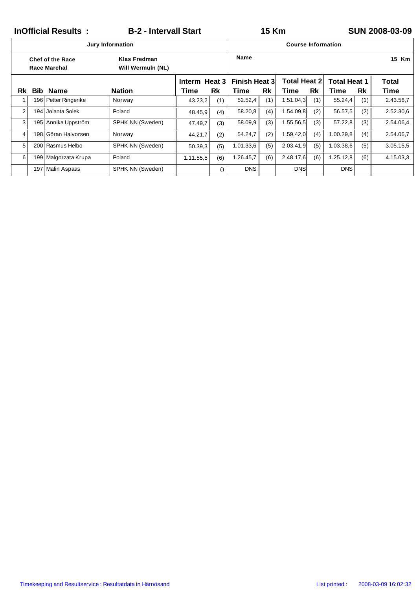|                |      | <b>InOfficial Results:</b>                     | <b>B-2 - Intervall Start</b>      |               |                  |                                                                    | <b>15 Km</b> |                           |     |            |     | <b>SUN 2008-03-09</b> |
|----------------|------|------------------------------------------------|-----------------------------------|---------------|------------------|--------------------------------------------------------------------|--------------|---------------------------|-----|------------|-----|-----------------------|
|                |      |                                                | <b>Jury Information</b>           |               |                  |                                                                    |              | <b>Course Information</b> |     |            |     |                       |
|                |      | <b>Chef of the Race</b><br><b>Race Marchal</b> | Klas Fredman<br>Will Wermuln (NL) |               |                  | Name                                                               |              |                           |     |            |     | 15 Km                 |
|                |      |                                                |                                   | Interm Heat 3 |                  | <b>Total Heat 2</b><br><b>Finish Heat 3</b><br><b>Total Heat 1</b> |              |                           |     |            |     | Total                 |
| Rk             | Bib. | <b>Name</b>                                    | <b>Nation</b>                     | Time          | Rk               | Time                                                               | Rk           | Time                      | Rk  | Time       | Rk  | Time                  |
|                |      | 196 Petter Ringerike                           | Norway                            | 43.23,2       | (1)              | 52.52,4                                                            | (1)          | 1.51.04,3                 | (1) | 55.24,4    | (1) | 2.43.56,7             |
| $\overline{2}$ | 194  | Jolanta Solek                                  | Poland                            | 48.45,9       | (4)              | 58.20,8                                                            | (4)          | 1.54.09,8                 | (2) | 56.57,5    | (2) | 2.52.30,6             |
| 3              |      | 195 Annika Uppström                            | SPHK NN (Sweden)                  | 47.49,7       | (3)              | 58.09,9                                                            | (3)          | 1.55.56,5                 | (3) | 57.22,8    | (3) | 2.54.06,4             |
| 4              |      | 198 Göran Halvorsen                            | Norway                            | 44.21,7       | (2)              | 54.24,7                                                            | (2)          | 1.59.42,0                 | (4) | 1.00.29, 8 | (4) | 2.54.06,7             |
| 5              |      | 200 Rasmus Helbo                               | SPHK NN (Sweden)                  | 50.39,3       | (5)              | 1.01.33,6                                                          | (5)          | 2.03.41,9                 | (5) | 1.03.38,6  | (5) | 3.05.15,5             |
| 6              | 199  | Malgorzata Krupa                               | Poland                            | 1.11.55,5     | (6)              | 1.26.45,7                                                          | (6)          | 2.48.17,6                 | (6) | 1.25.12,8  | (6) | 4.15.03,3             |
|                | 197  | Malin Aspaas                                   | SPHK NN (Sweden)                  |               | $\left( \right)$ | <b>DNS</b>                                                         |              | <b>DNS</b>                |     | <b>DNS</b> |     |                       |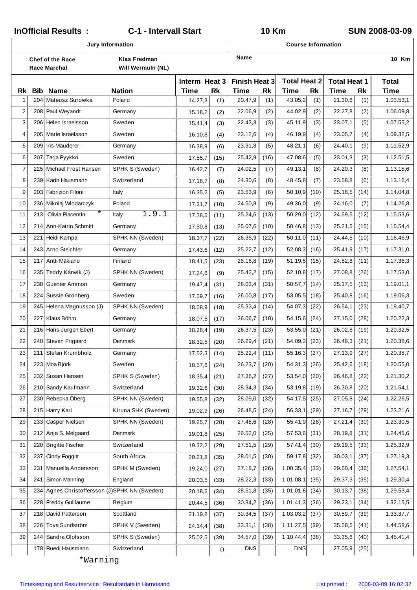| InOfficial Results:<br>C-1 - Intervall Start<br>Jury Information |            |                                                          |                                            |                       |                  | <b>10 Km</b><br>SUN 2008-03-09 |           |                             |           |                             |           |                     |
|------------------------------------------------------------------|------------|----------------------------------------------------------|--------------------------------------------|-----------------------|------------------|--------------------------------|-----------|-----------------------------|-----------|-----------------------------|-----------|---------------------|
|                                                                  |            |                                                          | Course Information<br>Name<br>Klas Fredman |                       |                  |                                |           |                             |           |                             |           |                     |
|                                                                  |            | Chef of the Race<br>Race Marchal                         | Will Wermuln (NL)                          |                       |                  |                                |           |                             |           |                             |           | 10 Km               |
| Rk                                                               | <b>Bib</b> | Name                                                     | Nation                                     | Interm Heat 3<br>Time | <b>Rk</b>        | Finish Heat 3<br>Time          | <b>Rk</b> | <b>Total Heat 2</b><br>Time | <b>Rk</b> | <b>Total Heat 1</b><br>Time | <b>Rk</b> | Total<br>Time       |
| 1                                                                | 204        | Mateusz Surowka                                          | Poland                                     | 14.27,3               | (1)              | 20.47,9                        | (1)       | 43.05,2                     | (1)       | 21.30,6                     | (1)       | 1.03.53,1           |
| $\overline{2}$                                                   |            | 208 Paul Weyandt                                         | Germany                                    | 15.18,2               | (2)              | 22.06,9                        | (2)       | 44.02,9                     | (2)       | 22.27,8                     | (2)       | 1.06.09,8           |
| 3                                                                | 206        | Helen Israelsson                                         | Sweden                                     | 15.41,4               | (3)              | 22.43,3                        | (3)       | 45.11,9                     | (3)       | 23.07,1                     | (5)       | 1.07.55,2           |
| 4                                                                | 205        | Marie Israelsson                                         | Sweden                                     | 16.10,8               | (4)              | 23.12,6                        | (4)       | 46.19,9                     | (4)       | 23.05,7                     | (4)       | 1.09.32,5           |
| 5                                                                | 209        | <b>Iris Mauderer</b>                                     | Germany                                    | 16.38,9               | (6)              | 23.31,8                        | (5)       | 48.21,1                     | (6)       | 24.40,1                     | (9)       | 1.11.52,9           |
| 6                                                                | 207        | Tarja Pyykkö                                             | Sweden                                     | 17.55,7               | (15)             | 25.42,9                        | (16)      | 47.08,6                     | (5)       | 23.01,3                     | (3)       | 1.12.51,5           |
| $\overline{7}$                                                   | 225        | Michael Frost Hansen                                     | SPHK S (Sweden)                            | 16.42,7               | (7)              | 24.02,5                        | (7)       | 49.13,1                     | (8)       | 24.20,3                     | (8)       | 1.13.15,6           |
| 8                                                                | 239        | Karin Hausmann                                           | Switzerland                                | 17.18,7               | (8)              | 24.30,6                        | (8)       | 48.45,8                     | (7)       | 23.58,8                     | (6)       | 1.13.16,4           |
| 9                                                                |            | 203 Fabrizion Filoni                                     | Italy                                      | 16.35,2               | (5)              | 23.53,9                        | (6)       | 50.10,9                     | (10)      | 25.18,5                     | (14)      | 1.14.04,8           |
| 10                                                               |            | 236 Mikolaj Wlodarczyk                                   | Poland                                     | 17.31,7               | (10)             | 24.50,8                        | (9)       | 49.36,0                     | (9)       | 24.16,0                     | (7)       | 1.14.26,8           |
| 11                                                               | 213        | $^\star$<br>Olivia Piacentini                            | 1.9.1<br>Italy                             | 17.38,5               | (11)             | 25.24,6                        | (13)      | 50.29,0                     | (12)      | 24.59,5                     | (12)      | 1.15.53,6           |
| 12                                                               | 214        | Ann-Katrin Schmitt                                       | Germany                                    | 17.50,8               | (13)             | 25.07,6                        | (10)      | 50.46,8                     | (13)      | 25.21,5                     | (15)      | 1.15.54,4           |
| 13                                                               | 221        | Heidi Kampa                                              | SPHK NN (Sweden)                           | 18.37,7               | (22)             | 26.35,9                        | (22)      | 50.11,0                     | (11)      | 24.44,5                     | (10)      | 1.16.46,9           |
| 14                                                               |            | 243 Arno Steichler                                       | Germany                                    | 17.43,6               | (12)             | 25.22,7                        | (12)      | 52.08,3                     | (16)      | 25.41,9                     | (17)      | 1.17.31,0           |
| 15                                                               | 217        | Antti Mäkiaho                                            | Finland                                    | 18.41,5               | (23)             | 26.16,8                        | (19)      | 51.19,5                     | (15)      | 24.52,8                     | (11)      | 1.17.36,3           |
| 16                                                               | 235        | Teddy Kårwik (J)                                         | SPHK NN (Sweden)                           | 17.24,6               | (9)              | 25.42,2                        | (15)      | 52.10,8                     | (17)      | 27.08,8                     | (26)      | 1.17.53,0           |
| 17                                                               | 238        | Guenter Ammon                                            | Germany                                    | 19.47,4               | (31)             | 28.03,4                        | (31)      | 50.57,7                     | (14)      | 25.17,5                     | (13)      | 1.19.01,1           |
| 18                                                               |            | 224 Sussie Grönberg                                      | Sweden                                     | 17.59,7               | (16)             | 26.00,8                        | (17)      | 53.05,5                     | (18)      | 25.40,8                     | (16)      | 1.19.06,3           |
| 19                                                               | 245        | Helena Magnusson (J)                                     | SPHK NN (Sweden)                           | 18.08,9               | (18)             | 25.33,4                        | (14)      | 54.07,3                     | (22)      | 26.54,1                     | (23)      | 1.19.40,7           |
| 20                                                               | 227        | Klaus Böhm                                               | Germany                                    | 18.07,5               | (17)             | 26.06,7                        | (18)      | 54.15,6                     | (24)      | 27.15,0                     | (28)      | 1.20.22,3           |
| 21                                                               |            | 216 Hans-Jurgen Ebert                                    | Germany                                    | 18.28,4               | (19)             | 26.37,5                        | (23)      | 53.55,0                     | (21)      | 26.02,8                     | (19)      | 1.20.32,5           |
| 22                                                               |            | 240 Steven Frigaard                                      | Denmark                                    | $18.32,5$ (20)        |                  | 26.29,4                        | (21)      | 54.09,2                     | (23)      | 26.46,3                     | (21)      | 1.20.38,6           |
| 23                                                               | 211        | Stefan Krumbholz                                         | Germany                                    | 17.52,3               | (14)             | 25.22,4                        | (11)      | 55.16,3                     | (27)      | 27.13,9                     | (27)      | 1.20.38,7           |
| 24                                                               | 223        | Moa Björk                                                | Sweden                                     | 18.57,6               | (24)             | 26.23,7                        | (20)      | 54.31,3                     | (26)      | 25.42,6                     | (18)      | 1.20.55,0           |
| 25                                                               |            | 232 Susan Hansen                                         | SPHK S (Sweden)                            | 18.35,4               | (21)             | 27.36,2                        | (27)      | 53.54,0                     | (20)      | 26.46,8                     | (22)      | 1.21.30,2           |
| 26                                                               | 210        | Sandy Kaufmann                                           | Switzerland                                | 19.32,6               | (30)             | 28.34,3                        | (34)      | 53.19,8                     | (19)      | 26.30,8                     | (20)      | 1.21.54,1           |
| 27                                                               |            | 230 Rebecka Öberg                                        | SPHK NN (Sweden)                           | 19.55,8               | (32)             | 28.09,0                        | (32)      | 54.17,5                     | (25)      | 27.05,8                     | (24)      | 1.22.26,5           |
| 28                                                               |            | 215 Harry Kari                                           | Kiruna SHK (Sweden)                        | 19.02,9               | (26)             | 26.48,5                        | (24)      | 56.33,1                     | (29)      | 27.16,7                     | (29)      | 1.23.21,6           |
| 29                                                               | 233        | Casper Nielsen                                           | SPHK NN (Sweden)                           | 19.25,7               | (28)             | 27.48,6                        | (28)      | 55.41,9                     | (28)      | 27.21,4                     | (30)      | 1.23.30,5           |
| 30                                                               | 212        | Anja S. Melgaard                                         | Denmark                                    | 19.01,8               | (25)             | 26.52,0                        | (25)      | 57.53,6                     | (31)      | 28.19,8                     | (31)      | 1.24.45,6           |
| 31                                                               | 220        | <b>Brigitte Fischer</b>                                  | Switzerland                                | 19.32,2               | (29)             | 27.51,5                        | (29)      | 57.41,4                     | (30)      | 29.19,5                     | (33)      | 1.25.32,9           |
| 32                                                               | 237        | <b>Cindy Foggitt</b>                                     | South Africa                               | 20.21,8               | (35)             | 28.01,5                        | (30)      | 59.17,8                     | (32)      | 30.03,1                     | (37)      | 1.27.19,3           |
| 33                                                               | 231        | Manuella Andersson                                       | SPHK M (Sweden)                            | 19.24,0               | (27)             | 27.18,7                        | (26)      | 1.00.35,4                   | (33)      | 29.50,4                     | (36)      | 1.27.54,1           |
| 34                                                               | 241        | Simon Manning                                            | England                                    | 20.03,5               | (33)             | 28.22,3                        | (33)      | 1.01.08,1                   | (35)      | 29.37,3                     | (35)      | 1.29.30,4           |
| 35                                                               | 234        | Agnes Christoffersson (J)                                | SPHK NN (Sweden)                           | 20.18,6               | (34)             | 28.51,8                        | (35)      | 1.01.01,6                   | (34)      | 30.13,7                     | (38)      | 1.29.53,4           |
| 36                                                               |            | 228 Freddy Guillaume                                     | Belgium                                    | 20.44,5               | (36)             | 30.34,2                        | (36)      | 1.01.41,3                   | (36)      | 29.23,1                     | (34)      | 1.32.15,5           |
| 37                                                               |            | 218 David Patterson                                      | Scottland                                  | 21.19,8               | (37)             | 30.34,5                        | (37)      | 1.03.03,2                   | (37)      | 30.59,7                     | (39)      | 1.33.37,7           |
| 38                                                               | 226        | Tova Sundström                                           | SPHK V (Sweden)                            | 24.14,4               | (38)             | 33.31,1                        | (38)      | 1.11.27,5                   | (39)      | 35.58,5                     | (41)      | 1.44.58,6           |
| 39                                                               | 244        | Sandra Olofsson                                          | SPHK S (Sweden)                            | 25.02,5               | (39)             | 34.57,0                        | (39)      | 1.10.44,4                   | (38)      | 33.35,6                     | (40)      | 1.45.41,4           |
|                                                                  |            | 178 Ruedi Hausmann                                       | Switzerland                                |                       | $\left( \right)$ | <b>DNS</b>                     |           | <b>DNS</b>                  |           | 27.05,9                     | (25)      |                     |
|                                                                  |            | *Warning                                                 |                                            |                       |                  |                                |           |                             |           |                             |           |                     |
|                                                                  |            |                                                          |                                            |                       |                  |                                |           |                             |           |                             |           |                     |
|                                                                  |            | Timekeeping and Resultservice: Resultatdata in Härnösand |                                            |                       |                  |                                |           |                             |           | List printed:               |           | 2008-03-09 16:02:32 |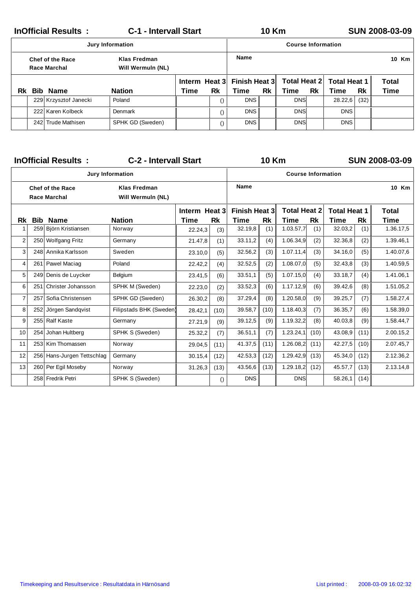|    |                                                                              | <b>InOfficial Results:</b> | <b>C-1 - Intervall Start</b> |      |               |                      | <b>10 Km</b> |                           |           |                     |      | <b>SUN 2008-03-09</b> |  |  |
|----|------------------------------------------------------------------------------|----------------------------|------------------------------|------|---------------|----------------------|--------------|---------------------------|-----------|---------------------|------|-----------------------|--|--|
|    |                                                                              |                            | <b>Jury Information</b>      |      |               |                      |              | <b>Course Information</b> |           |                     |      |                       |  |  |
|    | Klas Fredman<br><b>Chef of the Race</b><br>Race Marchal<br>Will Wermuln (NL) |                            |                              |      |               | <b>Name</b>          |              |                           |           |                     |      |                       |  |  |
|    |                                                                              |                            |                              |      | Interm Heat 3 | <b>Finish Heat 3</b> |              | Total Heat 2              |           | <b>Total Heat 1</b> |      | Total                 |  |  |
| Rk | Bib                                                                          | Name                       | <b>Nation</b>                | Time | Rk            | Time                 | <b>Rk</b>    | Time                      | <b>Rk</b> | Time                | Rk   | Time                  |  |  |
|    |                                                                              | 229 Krzysztof Janecki      | Poland                       |      |               | <b>DNS</b>           |              | <b>DNS</b>                |           | 28.22,6             | (32) |                       |  |  |
|    |                                                                              | 222 Karen Kolbeck          | Denmark                      |      |               | <b>DNS</b>           |              | <b>DNS</b>                |           | <b>DNS</b>          |      |                       |  |  |
|    |                                                                              | 242 Trude Mathisen         | SPHK GD (Sweden)             |      |               | <b>DNS</b>           |              | <b>DNS</b>                |           | <b>DNS</b>          |      |                       |  |  |

|                |            | <b>InOfficial Results:</b>                     | <b>C-2 - Intervall Start</b>             |                   |                  |                      | <b>10 Km</b> |                           |           |                     |           | <b>SUN 2008-03-09</b> |
|----------------|------------|------------------------------------------------|------------------------------------------|-------------------|------------------|----------------------|--------------|---------------------------|-----------|---------------------|-----------|-----------------------|
|                |            |                                                | <b>Jury Information</b>                  |                   |                  |                      |              | <b>Course Information</b> |           |                     |           |                       |
|                |            | <b>Chef of the Race</b><br><b>Race Marchal</b> | <b>Klas Fredman</b><br>Will Wermuln (NL) |                   |                  | Name                 |              |                           |           |                     |           | 10 Km                 |
|                |            |                                                |                                          | Interm Heat 3     |                  | <b>Finish Heat 3</b> |              | <b>Total Heat 2</b>       |           | <b>Total Heat 1</b> |           | <b>Total</b>          |
| Rk             | <b>Bib</b> | <b>Name</b>                                    | <b>Nation</b>                            | <b>Rk</b><br>Time |                  | Time                 | Rk           | Time                      | <b>Rk</b> | Time                | <b>Rk</b> | Time                  |
| $\mathbf{1}$   | 259        | Björn Kristiansen                              | Norway                                   | 22.24,3           | (3)              | 32.19,8              | (1)          | 1.03.57,7                 | (1)       | 32.03,2             | (1)       | 1.36.17,5             |
| $\overline{2}$ |            | 250 Wolfgang Fritz                             | Germany                                  | 21.47,8           | (1)              | 33.11,2              | (4)          | 1.06.34,9                 | (2)       | 32.36,8             | (2)       | 1.39.46,1             |
| 3              | 248        | Annika Karlsson                                | Sweden                                   | 23.10,0           | (5)              | 32.56,2              | (3)          | 1.07.11,4                 | (3)       | 34.16,0             | (5)       | 1.40.07,6             |
| 4              | 261        | Pawel Maciag                                   | Poland                                   | 22.42,2           | (4)              | 32.52,5              | (2)          | 1.08.07,0                 | (5)       | 32.43,8             | (3)       | 1.40.59,5             |
| 5              |            | 249 Denis de Luycker                           | Belgium                                  | 23.41,5           | (6)              | 33.51,1              | (5)          | 1.07.15,0                 | (4)       | 33.18,7             | (4)       | 1.41.06,1             |
| 6              | 251        | Christer Johansson                             | SPHK M (Sweden)                          | 22.23,0           | (2)              | 33.52,3              | (6)          | 1.17.12,9                 | (6)       | 39.42,6             | (8)       | 1.51.05,2             |
| $\overline{7}$ | 257        | Sofia Christensen                              | SPHK GD (Sweden)                         | 26.30,2           | (8)              | 37.29,4              | (8)          | 1.20.58,0                 | (9)       | 39.25,7             | (7)       | 1.58.27,4             |
| 8              | 252        | Jörgen Sandqvist                               | Filipstads BHK (Sweden)                  | 28.42,1           | (10)             | 39.58,7              | (10)         | 1.18.40,3                 | (7)       | 36.35,7             | (6)       | 1.58.39,0             |
| 9              | 255        | <b>Ralf Kaste</b>                              | Germany                                  | 27.21,9           | (9)              | 39.12,5              | (9)          | 1.19.32,2                 | (8)       | 40.03,8             | (9)       | 1.58.44,7             |
| 10             | 254        | Johan Hultberg                                 | SPHK S (Sweden)                          | 25.32,2           | (7)              | 36.51,1              | (7)          | 1.23.24,1                 | (10)      | 43.08,9             | (11)      | 2.00.15,2             |
| 11             |            | 253 Kim Thomassen                              | Norway                                   | 29.04,5           | (11)             | 41.37,5              | (11)         | 1.26.08,2                 | (11)      | 42.27,5             | (10)      | 2.07.45,7             |
| 12             | 256        | Hans-Jurgen Tettschlag                         | Germany                                  | 30.15,4           | (12)             | 42.53,3              | (12)         | 1.29.42,9                 | (13)      | 45.34,0             | (12)      | 2.12.36,2             |
| 13             |            | 260 Per Egil Moseby                            | Norway                                   | 31.26,3           | (13)             | 43.56,6              | (13)         | 1.29.18,2                 | (12)      | 45.57,7             | (13)      | 2.13.14,8             |
|                |            | 258 Fredrik Petri                              | SPHK S (Sweden)                          |                   | $\left( \right)$ | <b>DNS</b>           |              | <b>DNS</b>                |           | 58.26,1             | (14)      |                       |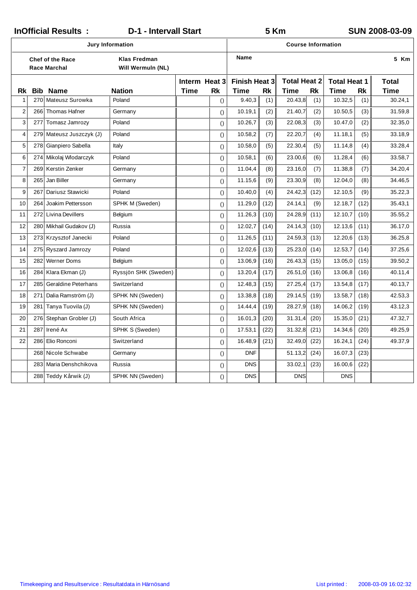| <b>InOfficial Results:</b><br><b>D-1 - Intervall Start</b><br>5 Km |            |                                                |                                          |      |                            |                              | <b>SUN 2008-03-09</b> |                             |           |                             |           |                             |
|--------------------------------------------------------------------|------------|------------------------------------------------|------------------------------------------|------|----------------------------|------------------------------|-----------------------|-----------------------------|-----------|-----------------------------|-----------|-----------------------------|
|                                                                    |            |                                                | Jury Information                         |      |                            |                              |                       | <b>Course Information</b>   |           |                             |           |                             |
|                                                                    |            | <b>Chef of the Race</b><br><b>Race Marchal</b> | <b>Klas Fredman</b><br>Will Wermuln (NL) |      |                            | <b>Name</b>                  |                       |                             |           |                             |           | 5 Km                        |
| Rk                                                                 | <b>Bib</b> | <b>Name</b>                                    | <b>Nation</b>                            | Time | Interm Heat 3<br><b>Rk</b> | <b>Finish Heat 3</b><br>Time | <b>Rk</b>             | <b>Total Heat 2</b><br>Time | <b>Rk</b> | <b>Total Heat 1</b><br>Time | <b>Rk</b> | <b>Total</b><br><b>Time</b> |
| $\mathbf{1}$                                                       | 270        | Mateusz Surowka                                | Poland                                   |      | $\left( \right)$           | 9.40,3                       | (1)                   | 20.43,8                     | (1)       | 10.32,5                     | (1)       | 30.24,1                     |
| $\overline{2}$                                                     |            | 266 Thomas Hafner                              | Germany                                  |      | $\left( \right)$           | 10.19,1                      | (2)                   | 21.40,7                     | (2)       | 10.50,5                     | (3)       | 31.59,8                     |
| 3                                                                  | 277        | Tomasz Jamrozy                                 | Poland                                   |      | $\left( \right)$           | 10.26,7                      | (3)                   | 22.08,3                     | (3)       | 10.47,0                     | (2)       | 32.35,0                     |
| $\overline{4}$                                                     |            | 279 Mateusz Juszczyk (J)                       | Poland                                   |      | $\left( \right)$           | 10.58,2                      | (7)                   | 22.20,7                     | (4)       | 11.18,1                     | (5)       | 33.18,9                     |
| 5                                                                  | 278        | Gianpiero Sabella                              | Italy                                    |      | $\left( \right)$           | 10.58,0                      | (5)                   | 22.30,4                     | (5)       | 11.14,8                     | (4)       | 33.28,4                     |
| 6                                                                  | 274        | Mikolaj Wlodarczyk                             | Poland                                   |      | $\left( \right)$           | 10.58,1                      | (6)                   | 23.00,6                     | (6)       | 11.28,4                     | (6)       | 33.58,7                     |
| $\boldsymbol{7}$                                                   |            | 269 Kerstin Zenker                             | Germany                                  |      | $\left( \right)$           | 11.04,4                      | (8)                   | 23.16,0                     | (7)       | 11.38,8                     | (7)       | 34.20,4                     |
| 8                                                                  | 265        | Jan Biller                                     | Germany                                  |      | $\left( \right)$           | 11.15,6                      | (9)                   | 23.30,9                     | (8)       | 12.04,0                     | (8)       | 34.46,5                     |
| 9                                                                  | 267        | Dariusz Stawicki                               | Poland                                   |      | $\left( \right)$           | 10.40,0                      | (4)                   | 24.42,3                     | (12)      | 12.10,5                     | (9)       | 35.22,3                     |
| 10                                                                 | 264        | Joakim Pettersson                              | SPHK M (Sweden)                          |      | $\left( \right)$           | 11.29,0                      | (12)                  | 24.14,1                     | (9)       | 12.18,7                     | (12)      | 35.43,1                     |
| 11                                                                 | 272        | <b>Livina Devillers</b>                        | Belgium                                  |      | $\left( \right)$           | 11.26,3                      | (10)                  | 24.28,9                     | (11)      | 12.10,7                     | (10)      | 35.55,2                     |
| 12                                                                 |            | 280 Mikhail Gudakov (J)                        | Russia                                   |      | $\left( \right)$           | 12.02,7                      | (14)                  | 24.14,3                     | (10)      | 12.13,6                     | (11)      | 36.17,0                     |
| 13                                                                 |            | 273 Krzysztof Janecki                          | Poland                                   |      | $\left( \right)$           | 11.26,5                      | (11)                  | 24.59,3                     | (13)      | 12.20,6                     | (13)      | 36.25,8                     |
| 14                                                                 | 275        | Ryszard Jamrozy                                | Poland                                   |      | $\left( \right)$           | 12.02,6                      | (13)                  | 25.23,0                     | (14)      | 12.53,7                     | (14)      | 37.25,6                     |
| 15                                                                 |            | 282 Werner Doms                                | <b>Belgium</b>                           |      | $\left( \right)$           | 13.06,9                      | (16)                  | 26.43,3                     | (15)      | 13.05,0                     | (15)      | 39.50,2                     |
| 16                                                                 | 284        | Klara Ekman (J)                                | Ryssjön SHK (Sweden)                     |      | $\left( \right)$           | 13.20,4                      | (17)                  | 26.51,0                     | (16)      | 13.06,8                     | (16)      | 40.11,4                     |
| 17                                                                 | 285        | <b>Geraldine Peterhans</b>                     | Switzerland                              |      | $\left( \right)$           | 12.48,3                      | (15)                  | 27.25,4                     | (17)      | 13.54,8                     | (17)      | 40.13,7                     |
| 18                                                                 | 271        | Dalia Ramström (J)                             | SPHK NN (Sweden)                         |      | $\left( \right)$           | 13.38,8                      | (18)                  | 29.14,5                     | (19)      | 13.58,7                     | (18)      | 42.53,3                     |
| 19                                                                 | 281        | Tanya Tuovila (J)                              | SPHK NN (Sweden)                         |      | $\left( \right)$           | 14.44,4                      | (19)                  | 28.27,9                     | (18)      | 14.06,2                     | (19)      | 43.12,3                     |
| 20                                                                 |            | 276 Stephan Grobler (J)                        | South Africa                             |      | $\left( \right)$           | 16.01,3                      | (20)                  | 31.31,4                     | (20)      | 15.35,0                     | (21)      | 47.32,7                     |
| 21                                                                 | 287        | Irené Ax                                       | SPHK S (Sweden)                          |      | $\left( \right)$           | 17.53,1                      | (22)                  | 31.32,8                     | (21)      | 14.34,6                     | (20)      | 49.25,9                     |
| 22                                                                 | 286        | Elio Ronconi                                   | Switzerland                              |      | $\left( \right)$           | 16.48,9                      | (21)                  | 32.49,0                     | (22)      | 16.24,1                     | (24)      | 49.37,9                     |
|                                                                    | 268        | Nicole Schwabe                                 | Germany                                  |      | $\left( \right)$           | <b>DNF</b>                   |                       | 51.13,2                     | (24)      | 16.07,3                     | (23)      |                             |
|                                                                    | 283        | Maria Denshchikova                             | Russia                                   |      | $\left( \right)$           | <b>DNS</b>                   |                       | 33.02,1                     | (23)      | 16.00,6                     | (22)      |                             |
|                                                                    |            | 288 Teddy Kårwik (J)                           | SPHK NN (Sweden)                         |      | $\left( \right)$           | <b>DNS</b>                   |                       | <b>DNS</b>                  |           | <b>DNS</b>                  |           |                             |